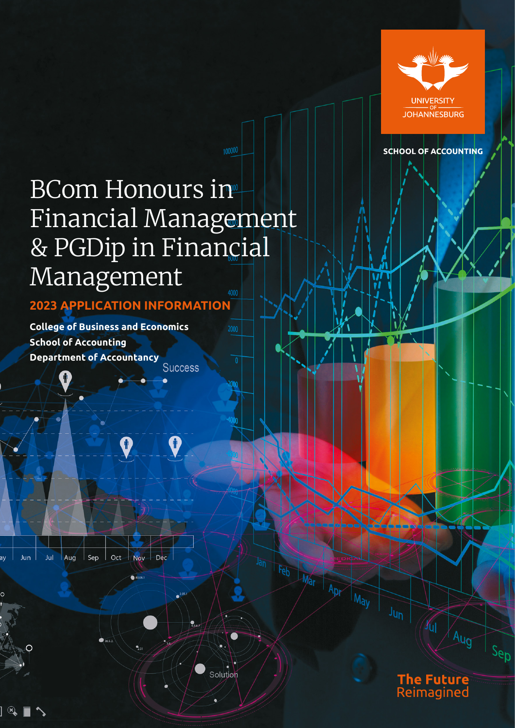

**SCHOOL OF ACCOUNTING** 

# BCom Honours in Financial Management & PGDip in Financial Management

**2023 APPLICATION INFORMATION** 

 $\mathbf{\hat{r}}$ 

Solution

**College of Business and Economics School of Accounting Department of AccountancySuccess** 

Jun Jul Aug Sep Oct Nov Dec



The Future<br>Reimagined

 $\overline{A_{Ug}}$ 

Sep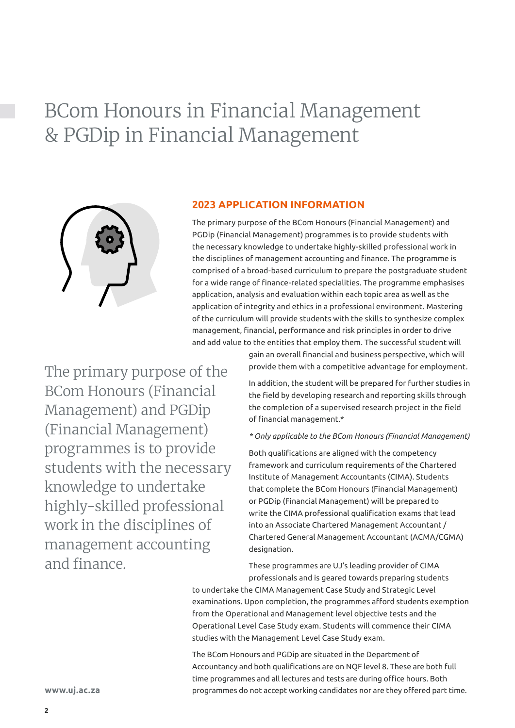# BCom Honours in Financial Management & PGDip in Financial Management



### **2023 APPLICATION INFORMATION**

The primary purpose of the BCom Honours (Financial Management) and PGDip (Financial Management) programmes is to provide students with the necessary knowledge to undertake highly-skilled professional work in the disciplines of management accounting and finance. The programme is comprised of a broad-based curriculum to prepare the postgraduate student for a wide range of finance-related specialities. The programme emphasises application, analysis and evaluation within each topic area as well as the application of integrity and ethics in a professional environment. Mastering of the curriculum will provide students with the skills to synthesize complex management, financial, performance and risk principles in order to drive and add value to the entities that employ them. The successful student will

The primary purpose of the BCom Honours (Financial Management) and PGDip (Financial Management) programmes is to provide students with the necessary knowledge to undertake highly-skilled professional work in the disciplines of management accounting and finance.

gain an overall financial and business perspective, which will provide them with a competitive advantage for employment.

In addition, the student will be prepared for further studies in the field by developing research and reporting skills through the completion of a supervised research project in the field of financial management.\*

#### *\* Only applicable to the BCom Honours (Financial Management)*

Both qualifications are aligned with the competency framework and curriculum requirements of the Chartered Institute of Management Accountants (CIMA). Students that complete the BCom Honours (Financial Management) or PGDip (Financial Management) will be prepared to write the CIMA professional qualification exams that lead into an Associate Chartered Management Accountant / Chartered General Management Accountant (ACMA/CGMA) designation.

These programmes are UJ's leading provider of CIMA professionals and is geared towards preparing students

to undertake the CIMA Management Case Study and Strategic Level examinations. Upon completion, the programmes afford students exemption from the Operational and Management level objective tests and the Operational Level Case Study exam. Students will commence their CIMA studies with the Management Level Case Study exam.

The BCom Honours and PGDip are situated in the Department of Accountancy and both qualifications are on NQF level 8. These are both full time programmes and all lectures and tests are during office hours. Both programmes do not accept working candidates nor are they offered part time.

**www.uj.ac.za**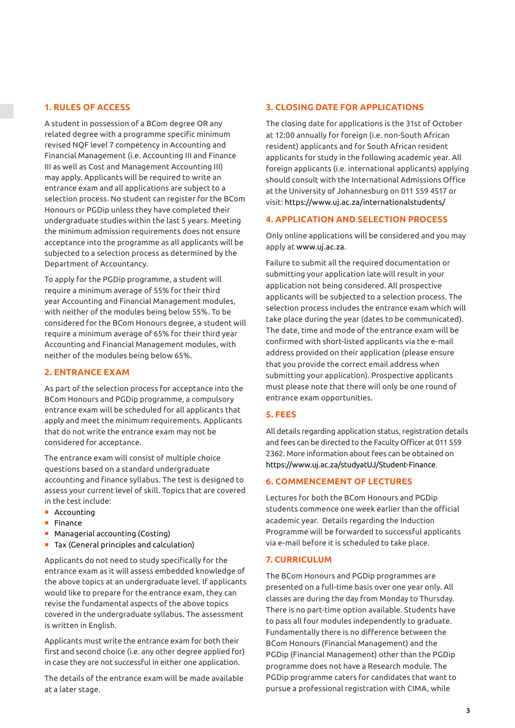# **1. RULES OF ACCESS**

A student in possession of a BCom degree OR any related degree with a programme specific minimum revised NQF level 7 competency in Accounting and Financial Management (i.e. Accounting III and Finance III as well as Cost and Management Accounting III) may apply. Applicants will be required to write an entrance exam and all applications are subject to a selection process. No student can register for the BCom Honours or PGDip unless they have completed their undergraduate studies within the last 5 years. Meeting the minimum admission requirements does not ensure acceptance into the programme as all applicants will be subjected to a selection process as determined by the Department of Accountancy.

To apply for the PGDip programme, a student will require a minimum average of 55% for their third year Accounting and Financial Management modules, with neither of the modules being below 55%. To be considered for the BCom Honours degree, a student will require a minimum average of 65% for their third year Accounting and Financial Management modules, with neither of the modules being below 65%.

# **2. ENTRANCE EXAM**

As part of the selection process for acceptance into the BCom Honours and PGDip programme, a compulsory entrance exam will be scheduled for all applicants that apply and meet the minimum requirements. Applicants that do not write the entrance exam may not be considered for acceptance.

The entrance exam will consist of multiple choice questions based on a standard undergraduate accounting and finance syllabus. The test is designed to assess your current level of skill. Topics that are covered in the test include:

- **Accounting**
- **Finance**
- **•** Managerial accounting (Costing)
- **Tax (General principles and calculation)**

Applicants do not need to study specifically for the entrance exam as it will assess embedded knowledge of the above topics at an undergraduate level. If applicants would like to prepare for the entrance exam, they can revise the fundamental aspects of the above topics covered in the undergraduate syllabus. The assessment is written in English.

Applicants must write the entrance exam for both their first and second choice (i.e. any other degree applied for) in case they are not successful in either one application.

The details of the entrance exam will be made available at a later stage.

#### **3. CLOSING DATE FOR APPLICATIONS**

The closing date for applications is the 31st of October at 12:00 annually for foreign (i.e. non-South African resident) applicants and for South African resident applicants for study in the following academic year. All foreign applicants (i.e. international applicants) applying should consult with the International Admissions Office at the University of Johannesburg on 011 559 4517 or visit:<https://www.uj.ac.za/internationalstudents/>

#### **4. APPLICATION AND SELECTION PROCESS**

Only online applications will be considered and you may apply at <www.uj.ac.za>.

Failure to submit all the required documentation or submitting your application late will result in your application not being considered. All prospective applicants will be subjected to a selection process. The selection process includes the entrance exam which will take place during the year (dates to be communicated). The date, time and mode of the entrance exam will be confirmed with short-listed applicants via the e-mail address provided on their application (please ensure that you provide the correct email address when submitting your application). Prospective applicants must please note that there will only be one round of entrance exam opportunities.

#### **5. FEES**

All details regarding application status, registration details and fees can be directed to the Faculty Officer at 011 559 2362. More information about fees can be obtained on [https://www.uj.ac.za/studyatUJ/Student-Finance.](https://www.uj.ac.za/studyatUJ/Student-Finance)

# **6. COMMENCEMENT OF LECTURES**

Lectures for both the BCom Honours and PGDip students commence one week earlier than the official academic year. Details regarding the Induction Programme will be forwarded to successful applicants via e-mail before it is scheduled to take place.

#### **7. CURRICULUM**

The BCom Honours and PGDip programmes are presented on a full-time basis over one year only. All classes are during the day from Monday to Thursday. There is no part-time option available. Students have to pass all four modules independently to graduate. Fundamentally there is no difference between the BCom Honours (Financial Management) and the PGDip (Financial Management) other than the PGDip programme does not have a Research module. The PGDip programme caters for candidates that want to pursue a professional registration with CIMA, while